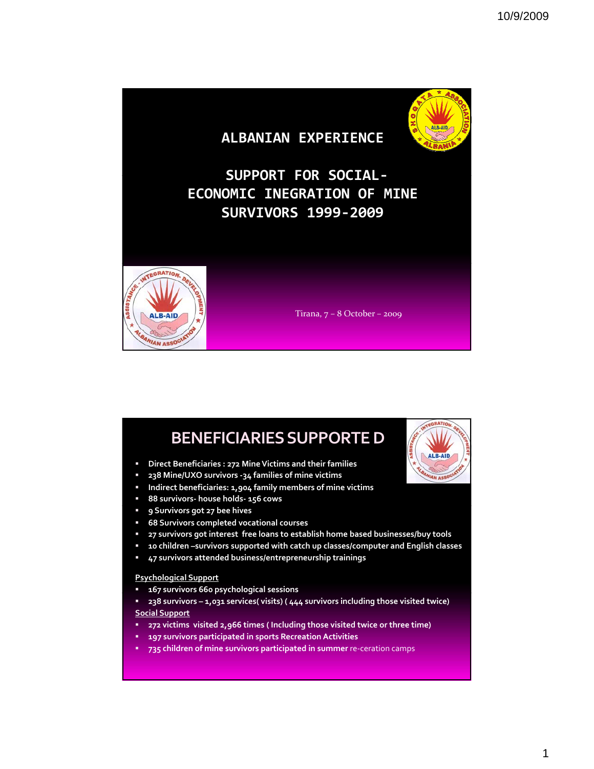

## **BENEFICIARIESSUPPORTED**

- **Direct Beneficiaries : 272 MineVictims and their families**
- **238 Mine/UXO survivors ‐34 families of mine victims**
- **Indirect beneficiaries: 1,904 family members of mine victims**
- **88 survivors‐ house holds‐ 156 cows**
- **9 Survivors got 27 bee hives**
- **68 Survivors completed vocational courses**
- **27 survivors got interest free loans to establish home based businesses/buy tools**
- **10 children –survivors supported with catch up classes/computer and English classes**

ALB-AID

**47 survivors attended business/entrepreneurship trainings**

## **Psychological Support**

- **167 survivors 660 py g s chological sessions**
- **238 survivors 1,031 services( visits) ( 444 survivors including those visited twice) Social Support**
- **272 victims visited 2,966 times ( Including those visited twice or three time)**
- **197 survivors participated in sports Recreation Activities**
- **735 children of mine survivors participated in summer** re‐ceration camps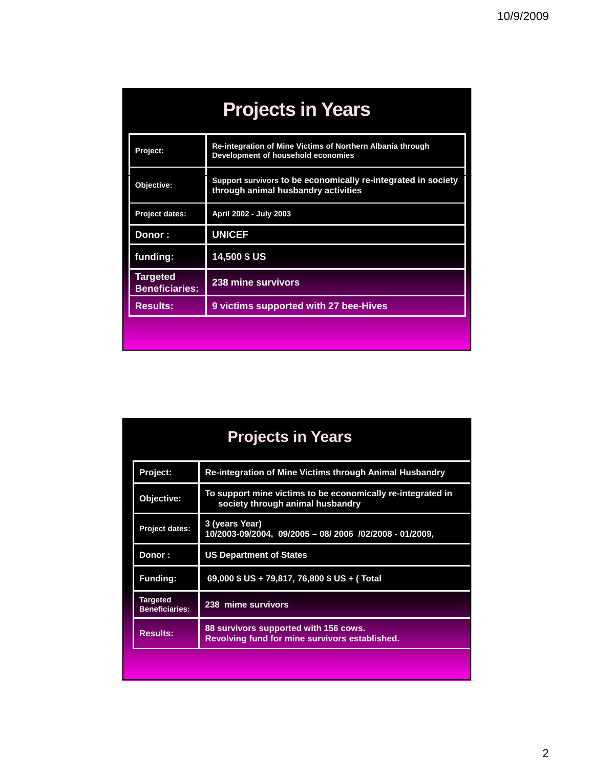| <b>Projects in Years</b>                 |                                                                                                      |  |
|------------------------------------------|------------------------------------------------------------------------------------------------------|--|
| Project:                                 | Re-integration of Mine Victims of Northern Albania through<br>Development of household economies     |  |
| Objective:                               | Support survivors to be economically re-integrated in society<br>through animal husbandry activities |  |
| <b>Project dates:</b>                    | April 2002 - July 2003                                                                               |  |
| Donor :                                  | <b>UNICEF</b>                                                                                        |  |
| funding:                                 | 14,500 \$ US                                                                                         |  |
| <b>Targeted</b><br><b>Beneficiaries:</b> | 238 mine survivors                                                                                   |  |
| <b>Results:</b>                          | 9 victims supported with 27 bee-Hives                                                                |  |
|                                          |                                                                                                      |  |

| <b>Projects in Years</b>                 |                                                                                                 |  |  |
|------------------------------------------|-------------------------------------------------------------------------------------------------|--|--|
| Project:                                 | <b>Re-integration of Mine Victims through Animal Husbandry</b>                                  |  |  |
| Objective:                               | To support mine victims to be economically re-integrated in<br>society through animal husbandry |  |  |
| Project dates:                           | 3 (years Year)<br>10/2003-09/2004, 09/2005 - 08/ 2006 /02/2008 - 01/2009,                       |  |  |
| Donor :                                  | <b>US Department of States</b>                                                                  |  |  |
| <b>Funding:</b>                          | 69,000 \$ US + 79,817, 76,800 \$ US + (Total                                                    |  |  |
| <b>Targeted</b><br><b>Beneficiaries:</b> | 238 mime survivors                                                                              |  |  |
| <b>Results:</b>                          | 88 survivors supported with 156 cows.<br>Revolving fund for mine survivors established.         |  |  |
|                                          |                                                                                                 |  |  |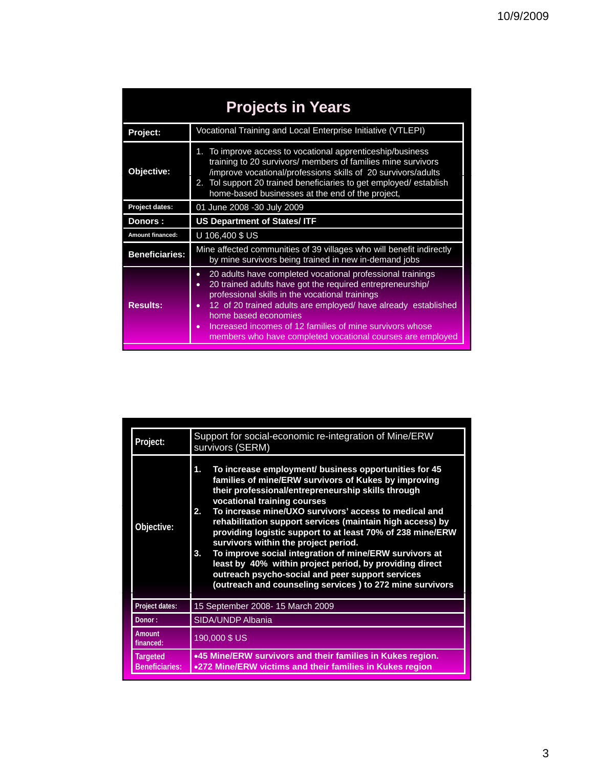| <b>Projects in Years</b> |                                                                                                                                                                                                                                                                                                                                                                                                                                       |  |  |  |
|--------------------------|---------------------------------------------------------------------------------------------------------------------------------------------------------------------------------------------------------------------------------------------------------------------------------------------------------------------------------------------------------------------------------------------------------------------------------------|--|--|--|
| Project:                 | Vocational Training and Local Enterprise Initiative (VTLEPI)                                                                                                                                                                                                                                                                                                                                                                          |  |  |  |
| Objective:               | 1. To improve access to vocational apprenticeship/business<br>training to 20 survivors/ members of families mine survivors<br>/improve vocational/professions skills of 20 survivors/adults<br>2. Tol support 20 trained beneficiaries to get employed/establish<br>home-based businesses at the end of the project,                                                                                                                  |  |  |  |
| Project dates:           | 01 June 2008 -30 July 2009                                                                                                                                                                                                                                                                                                                                                                                                            |  |  |  |
| Donors :                 | <b>US Department of States/ ITF</b>                                                                                                                                                                                                                                                                                                                                                                                                   |  |  |  |
| Amount financed:         | U 106,400 \$ US                                                                                                                                                                                                                                                                                                                                                                                                                       |  |  |  |
| <b>Beneficiaries:</b>    | Mine affected communities of 39 villages who will benefit indirectly<br>by mine survivors being trained in new in-demand jobs                                                                                                                                                                                                                                                                                                         |  |  |  |
| <b>Results:</b>          | 20 adults have completed vocational professional trainings<br>$\bullet$<br>20 trained adults have got the required entrepreneurship/<br>$\bullet$<br>professional skills in the vocational trainings<br>12 of 20 trained adults are employed/ have already established<br>home based economies<br>Increased incomes of 12 families of mine survivors whose<br>$\bullet$<br>members who have completed vocational courses are employed |  |  |  |

| Project:                                 | Support for social-economic re-integration of Mine/ERW<br>survivors (SERM)                                                                                                                                                                                                                                                                                                                                                                                                                                                                                                                                                                                                            |  |
|------------------------------------------|---------------------------------------------------------------------------------------------------------------------------------------------------------------------------------------------------------------------------------------------------------------------------------------------------------------------------------------------------------------------------------------------------------------------------------------------------------------------------------------------------------------------------------------------------------------------------------------------------------------------------------------------------------------------------------------|--|
| Objective:                               | To increase employment/ business opportunities for 45<br>1.<br>families of mine/ERW survivors of Kukes by improving<br>their professional/entrepreneurship skills through<br>vocational training courses<br>To increase mine/UXO survivors' access to medical and<br>2.<br>rehabilitation support services (maintain high access) by<br>providing logistic support to at least 70% of 238 mine/ERW<br>survivors within the project period.<br>To improve social integration of mine/ERW survivors at<br>3.<br>least by 40% within project period, by providing direct<br>outreach psycho-social and peer support services<br>(outreach and counseling services) to 272 mine survivors |  |
| Project dates:                           | 15 September 2008- 15 March 2009                                                                                                                                                                                                                                                                                                                                                                                                                                                                                                                                                                                                                                                      |  |
| Donor:                                   | SIDA/UNDP Albania                                                                                                                                                                                                                                                                                                                                                                                                                                                                                                                                                                                                                                                                     |  |
| <b>Amount</b><br>financed:               | 190,000 \$ US                                                                                                                                                                                                                                                                                                                                                                                                                                                                                                                                                                                                                                                                         |  |
| <b>Targeted</b><br><b>Beneficiaries:</b> | .45 Mine/ERW survivors and their families in Kukes region.<br>.272 Mine/ERW victims and their families in Kukes region                                                                                                                                                                                                                                                                                                                                                                                                                                                                                                                                                                |  |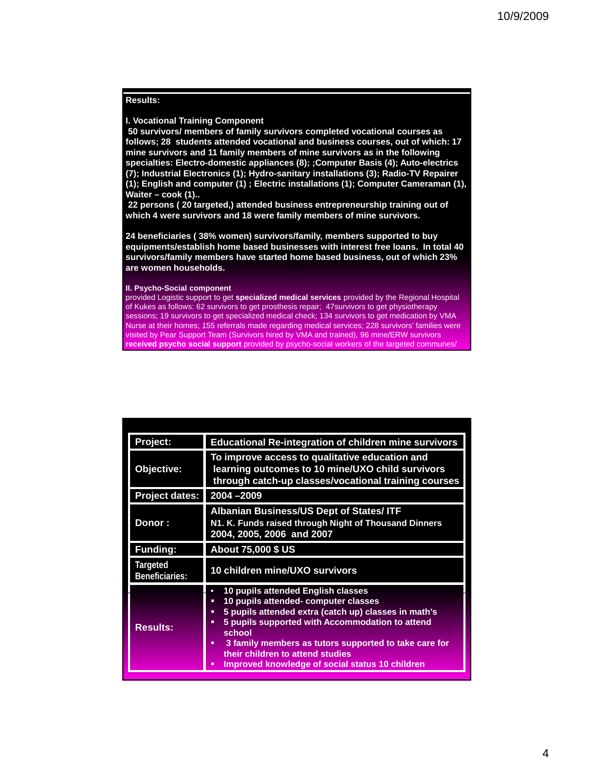### **Results:**

#### **I. Vocational Training Component**

**50 survivors/ members of family survivors completed vocational courses as follows; 28 students attended vocational and business courses, out of which: 17 mine survivors and 11 family members of mine survivors as in the following specialties: Electro-domestic appliances (8); ;Computer Basis (4); Auto-electrics**  (7); Industrial Electronics (1); Hydro-sanitary installations (3); Radio-TV Repairer **(1); English and computer (1) ; Electric installations (1); Computer Cameraman (1), Waiter – cook (1)..** 

**22 persons ( 20 targeted,) attended business entrepreneurship training out of which 4 were survivors and 18 were family members of mine survivors.** 

**24 beneficiaries ( 38% women) survivors/family, members supported to buy equipments/establish home based businesses with interest free loans. In total 40 survivors/family members have started home based business, out of which 23% are women households.**

#### **II. Psycho-Social component**

S for the second second second second second second second second second second second second second second se

provided Logistic support to get **specialized medical services** provided by the Regional Hospital of Kukes as follows: 62 survivors to get prosthesis repair; 47survivors to get physiotherapy sessions; 19 survivors to get specialized medical check; 134 survivors to get medication by VMA Nurse at their homes; 155 referrals made regarding medical services; 228 survivors' families were visited by Pear Support Team (Survivors hired by VMA and trained), 96 mine/ERW survivors **received psycho social support** provided by psycho-social workers of the targeted communes/

| Project:                   | <b>Educational Re-integration of children mine survivors</b>                                                                                                                                                                                                                                                                                                        |  |
|----------------------------|---------------------------------------------------------------------------------------------------------------------------------------------------------------------------------------------------------------------------------------------------------------------------------------------------------------------------------------------------------------------|--|
| Objective:                 | To improve access to qualitative education and<br>learning outcomes to 10 mine/UXO child survivors<br>through catch-up classes/vocational training courses                                                                                                                                                                                                          |  |
| <b>Project dates:</b>      | 2004 - 2009                                                                                                                                                                                                                                                                                                                                                         |  |
| Donor:                     | <b>Albanian Business/US Dept of States/ ITF</b><br>N1. K. Funds raised through Night of Thousand Dinners<br>2004, 2005, 2006 and 2007                                                                                                                                                                                                                               |  |
| <b>Funding:</b>            | About 75,000 \$ US                                                                                                                                                                                                                                                                                                                                                  |  |
| Targeted<br>Beneficiaries: | 10 children mine/UXO survivors                                                                                                                                                                                                                                                                                                                                      |  |
| <b>Results:</b>            | 10 pupils attended English classes<br>10 pupils attended- computer classes<br>Ξ<br>5 pupils attended extra (catch up) classes in math's<br>٠<br>5 pupils supported with Accommodation to attend<br>▪<br>school<br>3 family members as tutors supported to take care for<br>٠<br>their children to attend studies<br>Improved knowledge of social status 10 children |  |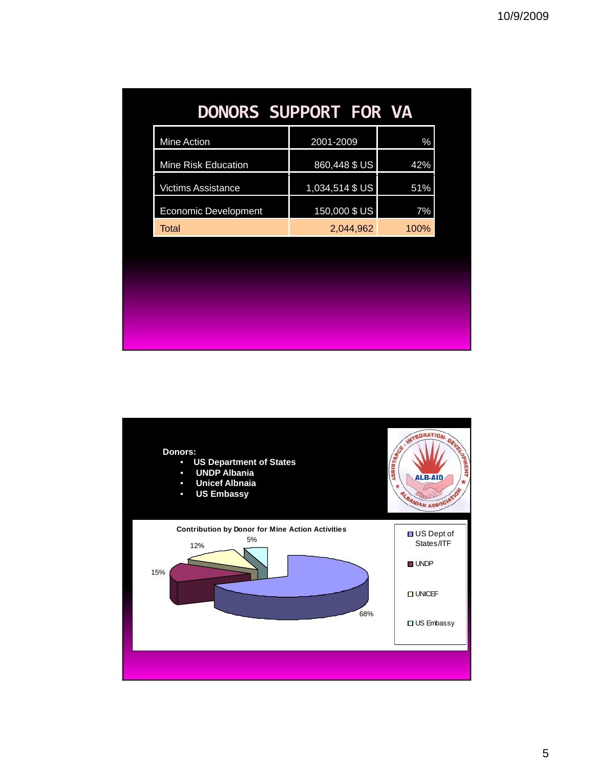| <b>DONORS SUPPORT FOR VA</b> |                 |      |
|------------------------------|-----------------|------|
| Mine Action                  | 2001-2009       | $\%$ |
| Mine Risk Education          | 860,448 \$ US   | 42%  |
| <b>Victims Assistance</b>    | 1,034,514 \$ US | 51%  |
| <b>Economic Development</b>  | 150,000 \$ US   | 7%   |
| Total                        | 2,044,962       | 100% |
|                              |                 |      |
|                              |                 |      |
|                              |                 |      |
|                              |                 |      |
|                              |                 |      |

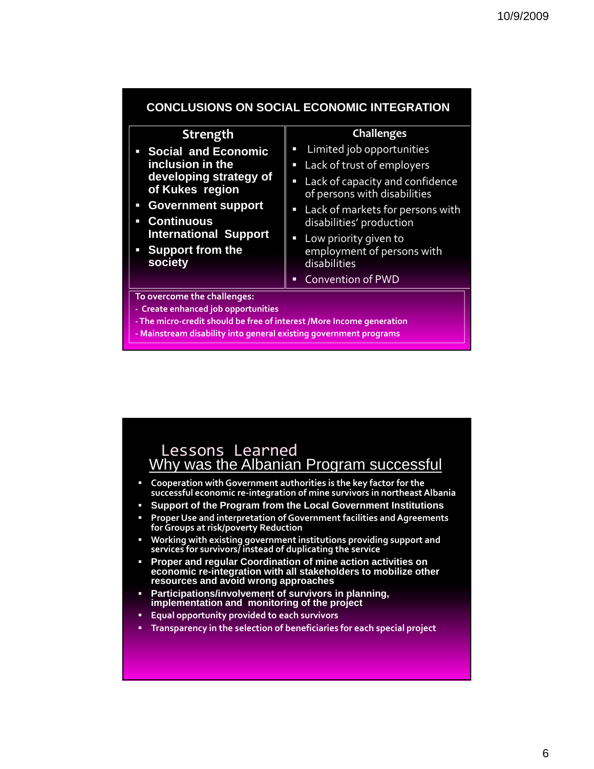| Strength                                                               | <b>Challenges</b>                                                                           |  |  |  |
|------------------------------------------------------------------------|---------------------------------------------------------------------------------------------|--|--|--|
| • Social and Economic                                                  | • Limited job opportunities                                                                 |  |  |  |
| inclusion in the                                                       | Lack of trust of employers                                                                  |  |  |  |
| developing strategy of<br>of Kukes region                              | Lack of capacity and confidence<br>$\overline{\phantom{a}}$<br>of persons with disabilities |  |  |  |
| <b>Government support</b>                                              | Lack of markets for persons with<br>$\blacksquare$                                          |  |  |  |
| <b>Continuous</b><br>I.                                                | disabilities' production                                                                    |  |  |  |
| <b>International Support</b>                                           | Low priority given to<br>$\overline{\phantom{a}}$                                           |  |  |  |
| • Support from the<br>society                                          | employment of persons with<br>disabilities                                                  |  |  |  |
|                                                                        | <b>Convention of PWD</b><br>٠                                                               |  |  |  |
| To overcome the challenges:                                            |                                                                                             |  |  |  |
| - Create enhanced job opportunities                                    |                                                                                             |  |  |  |
| - The micro-credit should be free of interest / More Income generation |                                                                                             |  |  |  |

**‐ Mainstream disability into general existing government programs**



- **Cooperation with Government authorities is the key factor for the successful economic re‐integration of mine survivors in northeast Albania**
- **Support of the Program from the Local Government Institutions Support of the Program from the Local Government**
- **Proper Use and interpretation of Government facilities andAgreements forGroups at risk/poverty Reduction**
- **Working with existing government institutions providing support and services for survivors/ instead of duplicating the service**
- **Proper and regular Coordination of mine action activities on economic re-integration with all stakeholders to mobilize other resources and avoid wrong approaches**
- **Participations/involvement of survivors in planning,** implementation and monitoring of the project
- **Equal opportunity provided to each survivors**
- **Transparency in the selection of beneficiaries for each special project**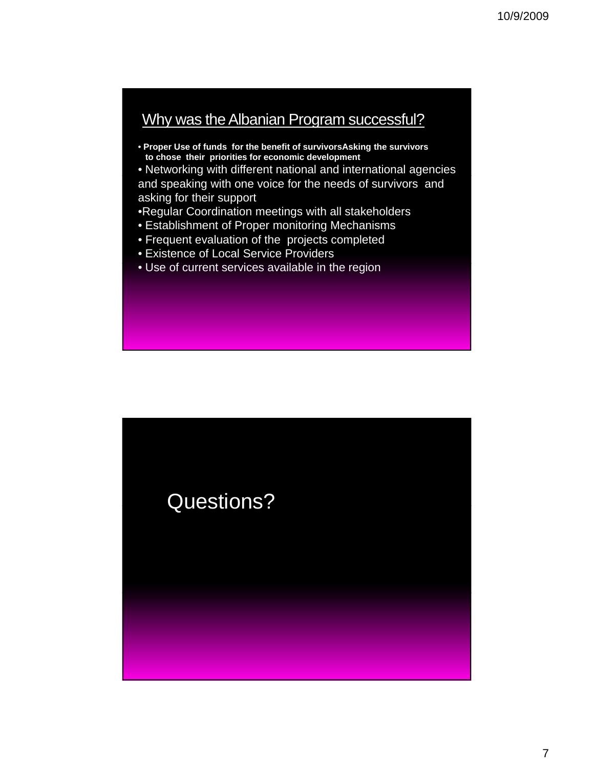# Why was the Albanian Program successful?

- **Proper Use of funds for the benefit of survivorsAsking the survivors to chose their priorities for economic development**
- Networking with different national and international agencies and speaking with one voice for the needs of survivors and asking for their support
- •Regular Coordination meetings with all stakeholders
- Establishment of Proper monitoring Mechanisms
- Frequent evaluation of the projects completed
- Existence of Local Service Providers
- Use of current services available in the region